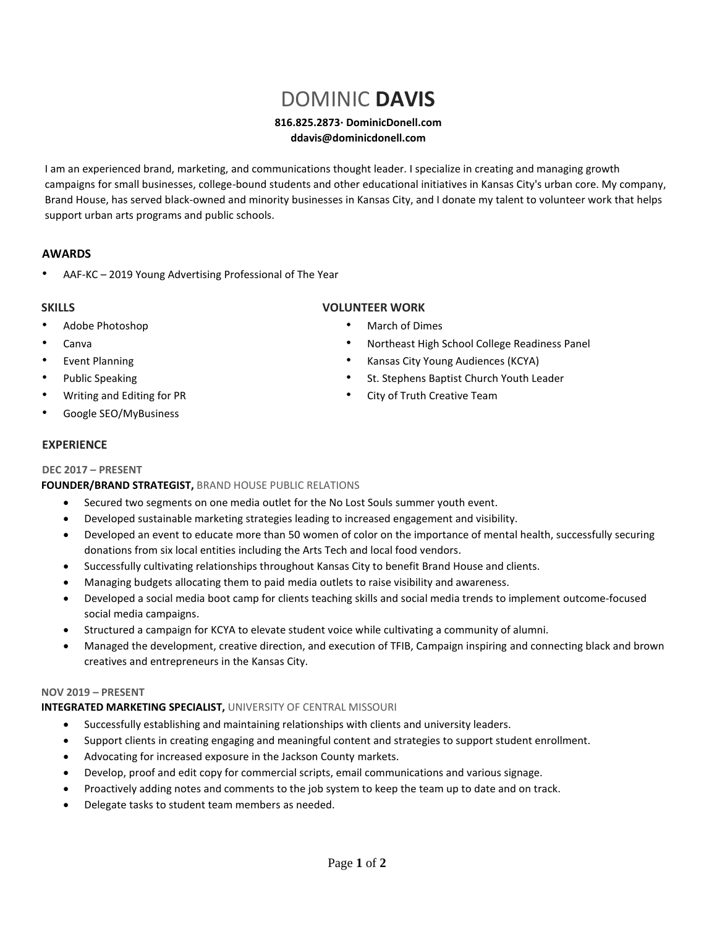# DOMINIC **DAVIS**

# **816.825.2873· DominicDonell.com ddavis@dominicdonell.com**

I am an experienced brand, marketing, and communications thought leader. I specialize in creating and managing growth campaigns for small businesses, college-bound students and other educational initiatives in Kansas City's urban core. My company, Brand House, has served black-owned and minority businesses in Kansas City, and I donate my talent to volunteer work that helps support urban arts programs and public schools.

# **AWARDS**

• AAF-KC – 2019 Young Advertising Professional of The Year

# **SKILLS VOLUNTEER WORK**

- Adobe Photoshop
- Canva
- **Event Planning**
- Public Speaking
- Writing and Editing for PR • Google SEO/MyBusiness

• Northeast High School College Readiness Panel

• March of Dimes

- Kansas City Young Audiences (KCYA)
- St. Stephens Baptist Church Youth Leader
- City of Truth Creative Team

# **EXPERIENCE**

# **DEC 2017 – PRESENT**

# **FOUNDER/BRAND STRATEGIST,** BRAND HOUSE PUBLIC RELATIONS

- Secured two segments on one media outlet for the No Lost Souls summer youth event.
- Developed sustainable marketing strategies leading to increased engagement and visibility.
- Developed an event to educate more than 50 women of color on the importance of mental health, successfully securing donations from six local entities including the Arts Tech and local food vendors.
- Successfully cultivating relationships throughout Kansas City to benefit Brand House and clients.
- Managing budgets allocating them to paid media outlets to raise visibility and awareness.
- Developed a social media boot camp for clients teaching skills and social media trends to implement outcome-focused social media campaigns.
- Structured a campaign for KCYA to elevate student voice while cultivating a community of alumni.
- Managed the development, creative direction, and execution of TFIB, Campaign inspiring and connecting black and brown creatives and entrepreneurs in the Kansas City.

# **NOV 2019 – PRESENT**

# **INTEGRATED MARKETING SPECIALIST,** UNIVERSITY OF CENTRAL MISSOURI

- Successfully establishing and maintaining relationships with clients and university leaders.
- Support clients in creating engaging and meaningful content and strategies to support student enrollment.
- Advocating for increased exposure in the Jackson County markets.
- Develop, proof and edit copy for commercial scripts, email communications and various signage.
- Proactively adding notes and comments to the job system to keep the team up to date and on track.
- Delegate tasks to student team members as needed.